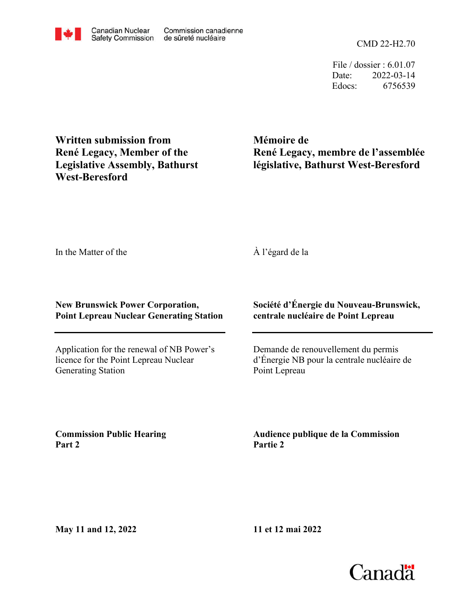CMD 22-H2.70

File / dossier : 6.01.07 Date: 2022-03-14 Edocs: 6756539

**Written submission from René Legacy, Member of the Legislative Assembly, Bathurst West-Beresford**

**Mémoire de René Legacy, membre de l'assemblée législative, Bathurst West-Beresford**

In the Matter of the

## À l'égard de la

**New Brunswick Power Corporation, Point Lepreau Nuclear Generating Station**

Application for the renewal of NB Power's licence for the Point Lepreau Nuclear Generating Station

**Société d'Énergie du Nouveau-Brunswick, centrale nucléaire de Point Lepreau**

Demande de renouvellement du permis d'Énergie NB pour la centrale nucléaire de Point Lepreau

**Commission Public Hearing Part 2**

**Audience publique de la Commission Partie 2**

**11 et 12 mai 2022**

**May 11 and 12, 2022**